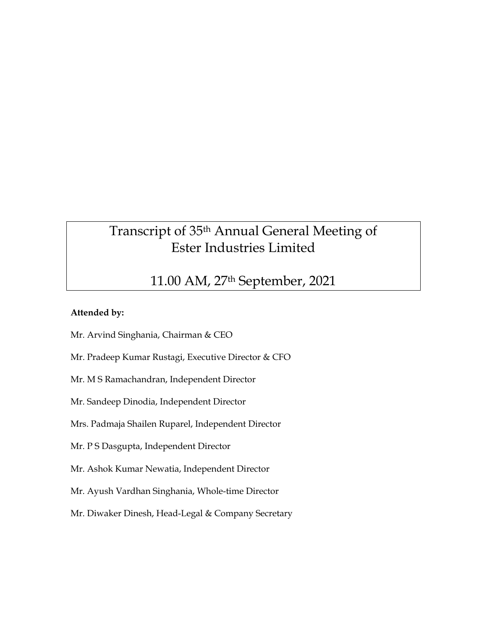# Transcript of 35th Annual General Meeting of Ester Industries Limited

# 11.00 AM, 27th September, 2021

# **Attended by:**

- Mr. Arvind Singhania, Chairman & CEO
- Mr. Pradeep Kumar Rustagi, Executive Director & CFO
- Mr. M S Ramachandran, Independent Director
- Mr. Sandeep Dinodia, Independent Director
- Mrs. Padmaja Shailen Ruparel, Independent Director
- Mr. P S Dasgupta, Independent Director
- Mr. Ashok Kumar Newatia, Independent Director
- Mr. Ayush Vardhan Singhania, Whole-time Director
- Mr. Diwaker Dinesh, Head-Legal & Company Secretary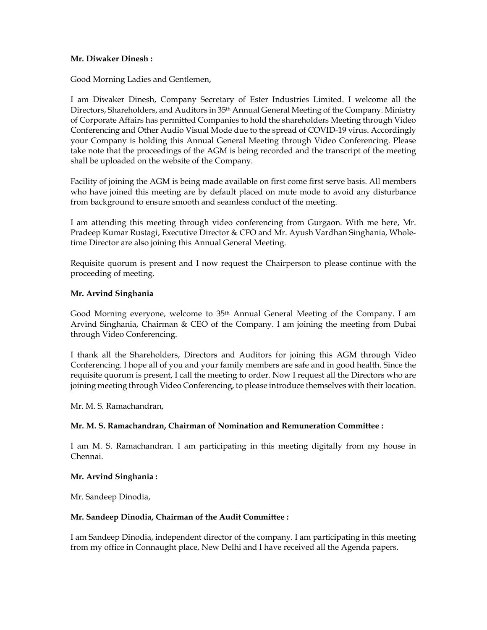#### **Mr. Diwaker Dinesh :**

Good Morning Ladies and Gentlemen,

I am Diwaker Dinesh, Company Secretary of Ester Industries Limited. I welcome all the Directors, Shareholders, and Auditors in 35th Annual General Meeting of the Company. Ministry of Corporate Affairs has permitted Companies to hold the shareholders Meeting through Video Conferencing and Other Audio Visual Mode due to the spread of COVID-19 virus. Accordingly your Company is holding this Annual General Meeting through Video Conferencing. Please take note that the proceedings of the AGM is being recorded and the transcript of the meeting shall be uploaded on the website of the Company.

Facility of joining the AGM is being made available on first come first serve basis. All members who have joined this meeting are by default placed on mute mode to avoid any disturbance from background to ensure smooth and seamless conduct of the meeting.

I am attending this meeting through video conferencing from Gurgaon. With me here, Mr. Pradeep Kumar Rustagi, Executive Director & CFO and Mr. Ayush Vardhan Singhania, Wholetime Director are also joining this Annual General Meeting.

Requisite quorum is present and I now request the Chairperson to please continue with the proceeding of meeting.

#### **Mr. Arvind Singhania**

Good Morning everyone, welcome to 35th Annual General Meeting of the Company. I am Arvind Singhania, Chairman & CEO of the Company. I am joining the meeting from Dubai through Video Conferencing.

I thank all the Shareholders, Directors and Auditors for joining this AGM through Video Conferencing. I hope all of you and your family members are safe and in good health. Since the requisite quorum is present, I call the meeting to order. Now I request all the Directors who are joining meeting through Video Conferencing, to please introduce themselves with their location.

Mr. M. S. Ramachandran,

# **Mr. M. S. Ramachandran, Chairman of Nomination and Remuneration Committee :**

I am M. S. Ramachandran. I am participating in this meeting digitally from my house in Chennai.

#### **Mr. Arvind Singhania :**

Mr. Sandeep Dinodia,

# **Mr. Sandeep Dinodia, Chairman of the Audit Committee :**

I am Sandeep Dinodia, independent director of the company. I am participating in this meeting from my office in Connaught place, New Delhi and I have received all the Agenda papers.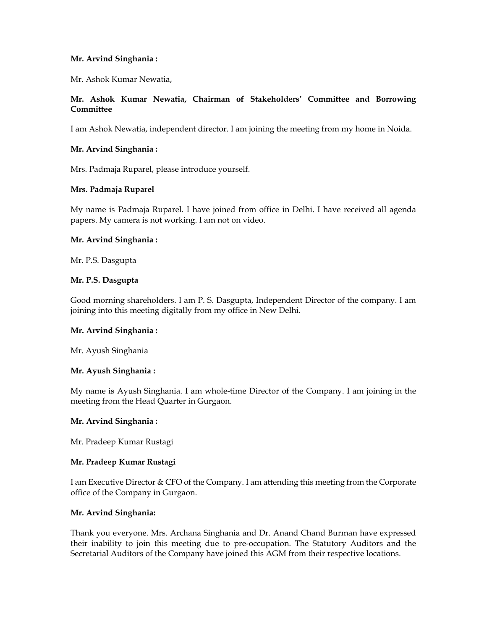# **Mr. Arvind Singhania :**

Mr. Ashok Kumar Newatia,

# **Mr. Ashok Kumar Newatia, Chairman of Stakeholders' Committee and Borrowing Committee**

I am Ashok Newatia, independent director. I am joining the meeting from my home in Noida.

# **Mr. Arvind Singhania :**

Mrs. Padmaja Ruparel, please introduce yourself.

#### **Mrs. Padmaja Ruparel**

My name is Padmaja Ruparel. I have joined from office in Delhi. I have received all agenda papers. My camera is not working. I am not on video.

#### **Mr. Arvind Singhania :**

Mr. P.S. Dasgupta

#### **Mr. P.S. Dasgupta**

Good morning shareholders. I am P. S. Dasgupta, Independent Director of the company. I am joining into this meeting digitally from my office in New Delhi.

#### **Mr. Arvind Singhania :**

Mr. Ayush Singhania

# **Mr. Ayush Singhania :**

My name is Ayush Singhania. I am whole-time Director of the Company. I am joining in the meeting from the Head Quarter in Gurgaon.

#### **Mr. Arvind Singhania :**

Mr. Pradeep Kumar Rustagi

# **Mr. Pradeep Kumar Rustagi**

I am Executive Director & CFO of the Company. I am attending this meeting from the Corporate office of the Company in Gurgaon.

# **Mr. Arvind Singhania:**

Thank you everyone. Mrs. Archana Singhania and Dr. Anand Chand Burman have expressed their inability to join this meeting due to pre-occupation. The Statutory Auditors and the Secretarial Auditors of the Company have joined this AGM from their respective locations.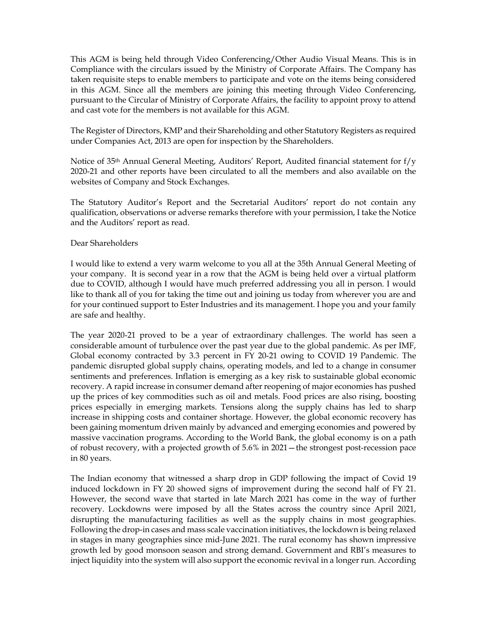This AGM is being held through Video Conferencing/Other Audio Visual Means. This is in Compliance with the circulars issued by the Ministry of Corporate Affairs. The Company has taken requisite steps to enable members to participate and vote on the items being considered in this AGM. Since all the members are joining this meeting through Video Conferencing, pursuant to the Circular of Ministry of Corporate Affairs, the facility to appoint proxy to attend and cast vote for the members is not available for this AGM.

The Register of Directors, KMP and their Shareholding and other Statutory Registers as required under Companies Act, 2013 are open for inspection by the Shareholders.

Notice of 35<sup>th</sup> Annual General Meeting, Auditors' Report, Audited financial statement for  $f/y$ 2020-21 and other reports have been circulated to all the members and also available on the websites of Company and Stock Exchanges.

The Statutory Auditor's Report and the Secretarial Auditors' report do not contain any qualification, observations or adverse remarks therefore with your permission, I take the Notice and the Auditors' report as read.

#### Dear Shareholders

I would like to extend a very warm welcome to you all at the 35th Annual General Meeting of your company. It is second year in a row that the AGM is being held over a virtual platform due to COVID, although I would have much preferred addressing you all in person. I would like to thank all of you for taking the time out and joining us today from wherever you are and for your continued support to Ester Industries and its management. I hope you and your family are safe and healthy.

The year 2020-21 proved to be a year of extraordinary challenges. The world has seen a considerable amount of turbulence over the past year due to the global pandemic. As per IMF, Global economy contracted by 3.3 percent in FY 20-21 owing to COVID 19 Pandemic. The pandemic disrupted global supply chains, operating models, and led to a change in consumer sentiments and preferences. Inflation is emerging as a key risk to sustainable global economic recovery. A rapid increase in consumer demand after reopening of major economies has pushed up the prices of key commodities such as oil and metals. Food prices are also rising, boosting prices especially in emerging markets. Tensions along the supply chains has led to sharp increase in shipping costs and container shortage. However, the global economic recovery has been gaining momentum driven mainly by advanced and emerging economies and powered by massive vaccination programs. According to the World Bank, the global economy is on a path of robust recovery, with a projected growth of 5.6% in 2021—the strongest post-recession pace in 80 years.

The Indian economy that witnessed a sharp drop in GDP following the impact of Covid 19 induced lockdown in FY 20 showed signs of improvement during the second half of FY 21. However, the second wave that started in late March 2021 has come in the way of further recovery. Lockdowns were imposed by all the States across the country since April 2021, disrupting the manufacturing facilities as well as the supply chains in most geographies. Following the drop-in cases and mass scale vaccination initiatives, the lockdown is being relaxed in stages in many geographies since mid-June 2021. The rural economy has shown impressive growth led by good monsoon season and strong demand. Government and RBI's measures to inject liquidity into the system will also support the economic revival in a longer run. According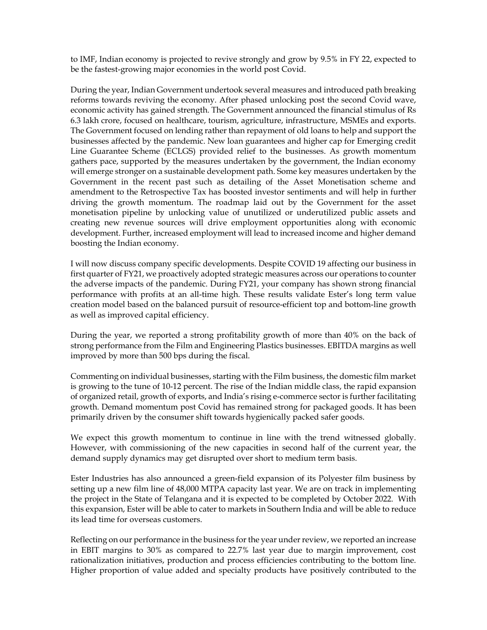to IMF, Indian economy is projected to revive strongly and grow by 9.5% in FY 22, expected to be the fastest-growing major economies in the world post Covid.

During the year, Indian Government undertook several measures and introduced path breaking reforms towards reviving the economy. After phased unlocking post the second Covid wave, economic activity has gained strength. The Government announced the financial stimulus of Rs 6.3 lakh crore, focused on healthcare, tourism, agriculture, infrastructure, MSMEs and exports. The Government focused on lending rather than repayment of old loans to help and support the businesses affected by the pandemic. New loan guarantees and higher cap for Emerging credit Line Guarantee Scheme (ECLGS) provided relief to the businesses. As growth momentum gathers pace, supported by the measures undertaken by the government, the Indian economy will emerge stronger on a sustainable development path. Some key measures undertaken by the Government in the recent past such as detailing of the Asset Monetisation scheme and amendment to the Retrospective Tax has boosted investor sentiments and will help in further driving the growth momentum. The roadmap laid out by the Government for the asset monetisation pipeline by unlocking value of unutilized or underutilized public assets and creating new revenue sources will drive employment opportunities along with economic development. Further, increased employment will lead to increased income and higher demand boosting the Indian economy.

I will now discuss company specific developments. Despite COVID 19 affecting our business in first quarter of FY21, we proactively adopted strategic measures across our operations to counter the adverse impacts of the pandemic. During FY21, your company has shown strong financial performance with profits at an all-time high. These results validate Ester's long term value creation model based on the balanced pursuit of resource-efficient top and bottom-line growth as well as improved capital efficiency.

During the year, we reported a strong profitability growth of more than 40% on the back of strong performance from the Film and Engineering Plastics businesses. EBITDA margins as well improved by more than 500 bps during the fiscal.

Commenting on individual businesses, starting with the Film business, the domestic film market is growing to the tune of 10-12 percent. The rise of the Indian middle class, the rapid expansion of organized retail, growth of exports, and India's rising e-commerce sector is further facilitating growth. Demand momentum post Covid has remained strong for packaged goods. It has been primarily driven by the consumer shift towards hygienically packed safer goods.

We expect this growth momentum to continue in line with the trend witnessed globally. However, with commissioning of the new capacities in second half of the current year, the demand supply dynamics may get disrupted over short to medium term basis.

Ester Industries has also announced a green-field expansion of its Polyester film business by setting up a new film line of 48,000 MTPA capacity last year. We are on track in implementing the project in the State of Telangana and it is expected to be completed by October 2022. With this expansion, Ester will be able to cater to markets in Southern India and will be able to reduce its lead time for overseas customers.

Reflecting on our performance in the business for the year under review, we reported an increase in EBIT margins to 30% as compared to 22.7% last year due to margin improvement, cost rationalization initiatives, production and process efficiencies contributing to the bottom line. Higher proportion of value added and specialty products have positively contributed to the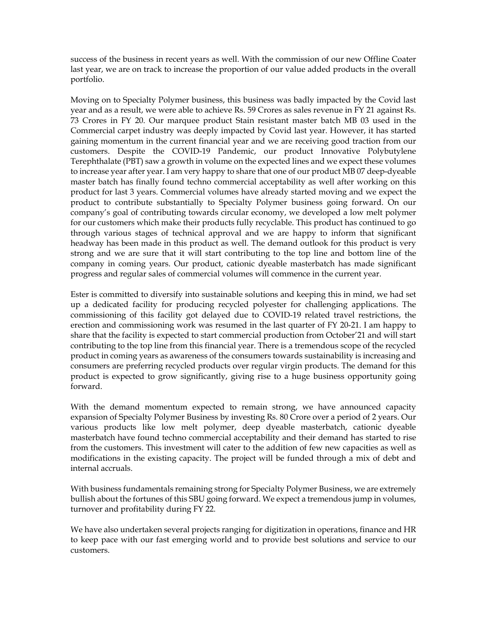success of the business in recent years as well. With the commission of our new Offline Coater last year, we are on track to increase the proportion of our value added products in the overall portfolio.

Moving on to Specialty Polymer business, this business was badly impacted by the Covid last year and as a result, we were able to achieve Rs. 59 Crores as sales revenue in FY 21 against Rs. 73 Crores in FY 20. Our marquee product Stain resistant master batch MB 03 used in the Commercial carpet industry was deeply impacted by Covid last year. However, it has started gaining momentum in the current financial year and we are receiving good traction from our customers. Despite the COVID-19 Pandemic, our product Innovative Polybutylene Terephthalate (PBT) saw a growth in volume on the expected lines and we expect these volumes to increase year after year. I am very happy to share that one of our product MB 07 deep-dyeable master batch has finally found techno commercial acceptability as well after working on this product for last 3 years. Commercial volumes have already started moving and we expect the product to contribute substantially to Specialty Polymer business going forward. On our company's goal of contributing towards circular economy, we developed a low melt polymer for our customers which make their products fully recyclable. This product has continued to go through various stages of technical approval and we are happy to inform that significant headway has been made in this product as well. The demand outlook for this product is very strong and we are sure that it will start contributing to the top line and bottom line of the company in coming years. Our product, cationic dyeable masterbatch has made significant progress and regular sales of commercial volumes will commence in the current year.

Ester is committed to diversify into sustainable solutions and keeping this in mind, we had set up a dedicated facility for producing recycled polyester for challenging applications. The commissioning of this facility got delayed due to COVID-19 related travel restrictions, the erection and commissioning work was resumed in the last quarter of FY 20-21. I am happy to share that the facility is expected to start commercial production from October'21 and will start contributing to the top line from this financial year. There is a tremendous scope of the recycled product in coming years as awareness of the consumers towards sustainability is increasing and consumers are preferring recycled products over regular virgin products. The demand for this product is expected to grow significantly, giving rise to a huge business opportunity going forward.

With the demand momentum expected to remain strong, we have announced capacity expansion of Specialty Polymer Business by investing Rs. 80 Crore over a period of 2 years. Our various products like low melt polymer, deep dyeable masterbatch, cationic dyeable masterbatch have found techno commercial acceptability and their demand has started to rise from the customers. This investment will cater to the addition of few new capacities as well as modifications in the existing capacity. The project will be funded through a mix of debt and internal accruals.

With business fundamentals remaining strong for Specialty Polymer Business, we are extremely bullish about the fortunes of this SBU going forward. We expect a tremendous jump in volumes, turnover and profitability during FY 22.

We have also undertaken several projects ranging for digitization in operations, finance and HR to keep pace with our fast emerging world and to provide best solutions and service to our customers.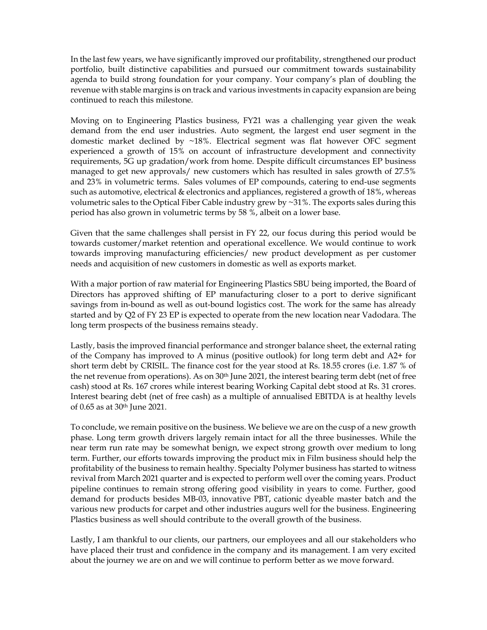In the last few years, we have significantly improved our profitability, strengthened our product portfolio, built distinctive capabilities and pursued our commitment towards sustainability agenda to build strong foundation for your company. Your company's plan of doubling the revenue with stable margins is on track and various investments in capacity expansion are being continued to reach this milestone.

Moving on to Engineering Plastics business, FY21 was a challenging year given the weak demand from the end user industries. Auto segment, the largest end user segment in the domestic market declined by ~18%. Electrical segment was flat however OFC segment experienced a growth of 15% on account of infrastructure development and connectivity requirements, 5G up gradation/work from home. Despite difficult circumstances EP business managed to get new approvals/ new customers which has resulted in sales growth of 27.5% and 23% in volumetric terms. Sales volumes of EP compounds, catering to end-use segments such as automotive, electrical & electronics and appliances, registered a growth of 18%, whereas volumetric sales to the Optical Fiber Cable industry grew by ~31%. The exports sales during this period has also grown in volumetric terms by 58 %, albeit on a lower base.

Given that the same challenges shall persist in FY 22, our focus during this period would be towards customer/market retention and operational excellence. We would continue to work towards improving manufacturing efficiencies/ new product development as per customer needs and acquisition of new customers in domestic as well as exports market.

With a major portion of raw material for Engineering Plastics SBU being imported, the Board of Directors has approved shifting of EP manufacturing closer to a port to derive significant savings from in-bound as well as out-bound logistics cost. The work for the same has already started and by Q2 of FY 23 EP is expected to operate from the new location near Vadodara. The long term prospects of the business remains steady.

Lastly, basis the improved financial performance and stronger balance sheet, the external rating of the Company has improved to A minus (positive outlook) for long term debt and A2+ for short term debt by CRISIL. The finance cost for the year stood at Rs. 18.55 crores (i.e. 1.87 % of the net revenue from operations). As on 30<sup>th</sup> June 2021, the interest bearing term debt (net of free cash) stood at Rs. 167 crores while interest bearing Working Capital debt stood at Rs. 31 crores. Interest bearing debt (net of free cash) as a multiple of annualised EBITDA is at healthy levels of 0.65 as at 30th June 2021.

To conclude, we remain positive on the business. We believe we are on the cusp of a new growth phase. Long term growth drivers largely remain intact for all the three businesses. While the near term run rate may be somewhat benign, we expect strong growth over medium to long term. Further, our efforts towards improving the product mix in Film business should help the profitability of the business to remain healthy. Specialty Polymer business has started to witness revival from March 2021 quarter and is expected to perform well over the coming years. Product pipeline continues to remain strong offering good visibility in years to come. Further, good demand for products besides MB-03, innovative PBT, cationic dyeable master batch and the various new products for carpet and other industries augurs well for the business. Engineering Plastics business as well should contribute to the overall growth of the business.

Lastly, I am thankful to our clients, our partners, our employees and all our stakeholders who have placed their trust and confidence in the company and its management. I am very excited about the journey we are on and we will continue to perform better as we move forward.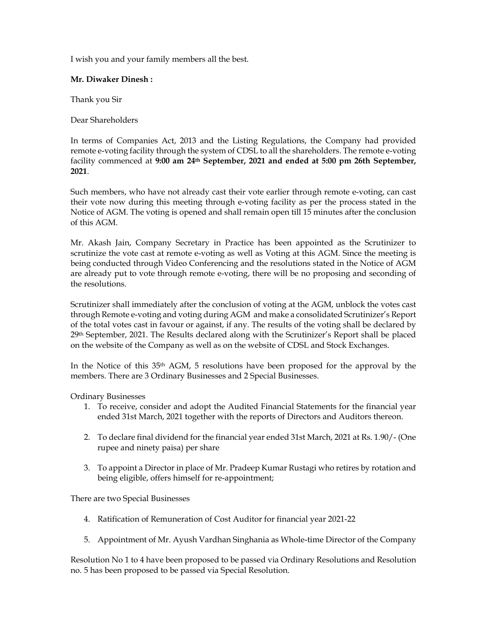I wish you and your family members all the best.

# **Mr. Diwaker Dinesh :**

Thank you Sir

Dear Shareholders

In terms of Companies Act, 2013 and the Listing Regulations, the Company had provided remote e-voting facility through the system of CDSL to all the shareholders. The remote e-voting facility commenced at **9:00 am 24th September, 2021 and ended at 5:00 pm 26th September, 2021**.

Such members, who have not already cast their vote earlier through remote e-voting, can cast their vote now during this meeting through e-voting facility as per the process stated in the Notice of AGM. The voting is opened and shall remain open till 15 minutes after the conclusion of this AGM.

Mr. Akash Jain, Company Secretary in Practice has been appointed as the Scrutinizer to scrutinize the vote cast at remote e-voting as well as Voting at this AGM. Since the meeting is being conducted through Video Conferencing and the resolutions stated in the Notice of AGM are already put to vote through remote e-voting, there will be no proposing and seconding of the resolutions.

Scrutinizer shall immediately after the conclusion of voting at the AGM, unblock the votes cast through Remote e-voting and voting during AGM and make a consolidated Scrutinizer's Report of the total votes cast in favour or against, if any. The results of the voting shall be declared by 29th September, 2021. The Results declared along with the Scrutinizer's Report shall be placed on the website of the Company as well as on the website of CDSL and Stock Exchanges.

In the Notice of this 35th AGM, 5 resolutions have been proposed for the approval by the members. There are 3 Ordinary Businesses and 2 Special Businesses.

Ordinary Businesses

- 1. To receive, consider and adopt the Audited Financial Statements for the financial year ended 31st March, 2021 together with the reports of Directors and Auditors thereon.
- 2. To declare final dividend for the financial year ended 31st March, 2021 at Rs. 1.90/- (One rupee and ninety paisa) per share
- 3. To appoint a Director in place of Mr. Pradeep Kumar Rustagi who retires by rotation and being eligible, offers himself for re-appointment;

There are two Special Businesses

- 4. Ratification of Remuneration of Cost Auditor for financial year 2021-22
- 5. Appointment of Mr. Ayush Vardhan Singhania as Whole-time Director of the Company

Resolution No 1 to 4 have been proposed to be passed via Ordinary Resolutions and Resolution no. 5 has been proposed to be passed via Special Resolution.